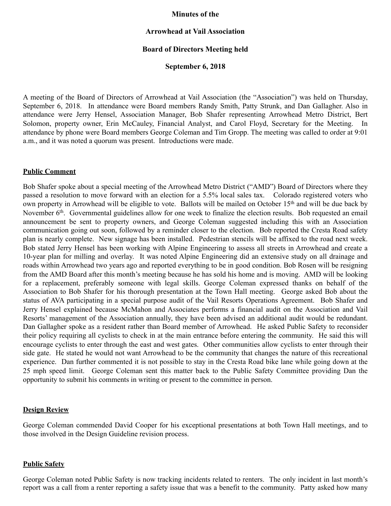## **Minutes of the**

# **Arrowhead at Vail Association**

## **Board of Directors Meeting held**

## **September 6, 2018**

A meeting of the Board of Directors of Arrowhead at Vail Association (the "Association") was held on Thursday, September 6, 2018. In attendance were Board members Randy Smith, Patty Strunk, and Dan Gallagher. Also in attendance were Jerry Hensel, Association Manager, Bob Shafer representing Arrowhead Metro District, Bert Solomon, property owner, Erin McCauley, Financial Analyst, and Carol Floyd, Secretary for the Meeting. In attendance by phone were Board members George Coleman and Tim Gropp. The meeting was called to order at 9:01 a.m., and it was noted a quorum was present. Introductions were made.

### **Public Comment**

Bob Shafer spoke about a special meeting of the Arrowhead Metro District ("AMD") Board of Directors where they passed a resolution to move forward with an election for a 5.5% local sales tax. Colorado registered voters who own property in Arrowhead will be eligible to vote. Ballots will be mailed on October 15th and will be due back by November 6<sup>th</sup>. Governmental guidelines allow for one week to finalize the election results. Bob requested an email announcement be sent to property owners, and George Coleman suggested including this with an Association communication going out soon, followed by a reminder closer to the election. Bob reported the Cresta Road safety plan is nearly complete. New signage has been installed. Pedestrian stencils will be affixed to the road next week. Bob stated Jerry Hensel has been working with Alpine Engineering to assess all streets in Arrowhead and create a 10-year plan for milling and overlay. It was noted Alpine Engineering did an extensive study on all drainage and roads within Arrowhead two years ago and reported everything to be in good condition. Bob Rosen will be resigning from the AMD Board after this month's meeting because he has sold his home and is moving. AMD will be looking for a replacement, preferably someone with legal skills. George Coleman expressed thanks on behalf of the Association to Bob Shafer for his thorough presentation at the Town Hall meeting. George asked Bob about the status of AVA participating in a special purpose audit of the Vail Resorts Operations Agreement. Bob Shafer and Jerry Hensel explained because McMahon and Associates performs a financial audit on the Association and Vail Resorts' management of the Association annually, they have been advised an additional audit would be redundant. Dan Gallagher spoke as a resident rather than Board member of Arrowhead. He asked Public Safety to reconsider their policy requiring all cyclists to check in at the main entrance before entering the community. He said this will encourage cyclists to enter through the east and west gates. Other communities allow cyclists to enter through their side gate. He stated he would not want Arrowhead to be the community that changes the nature of this recreational experience. Dan further commented it is not possible to stay in the Cresta Road bike lane while going down at the 25 mph speed limit. George Coleman sent this matter back to the Public Safety Committee providing Dan the opportunity to submit his comments in writing or present to the committee in person.

#### **Design Review**

George Coleman commended David Cooper for his exceptional presentations at both Town Hall meetings, and to those involved in the Design Guideline revision process.

### **Public Safety**

George Coleman noted Public Safety is now tracking incidents related to renters. The only incident in last month's report was a call from a renter reporting a safety issue that was a benefit to the community. Patty asked how many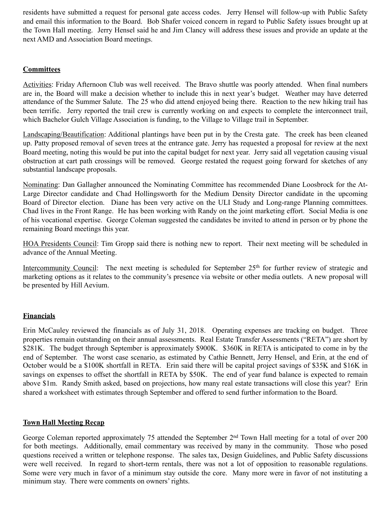residents have submitted a request for personal gate access codes. Jerry Hensel will follow-up with Public Safety and email this information to the Board. Bob Shafer voiced concern in regard to Public Safety issues brought up at the Town Hall meeting. Jerry Hensel said he and Jim Clancy will address these issues and provide an update at the next AMD and Association Board meetings.

# **Committees**

Activities: Friday Afternoon Club was well received. The Bravo shuttle was poorly attended. When final numbers are in, the Board will make a decision whether to include this in next year's budget. Weather may have deterred attendance of the Summer Salute. The 25 who did attend enjoyed being there. Reaction to the new hiking trail has been terrific. Jerry reported the trail crew is currently working on and expects to complete the interconnect trail, which Bachelor Gulch Village Association is funding, to the Village to Village trail in September.

Landscaping/Beautification: Additional plantings have been put in by the Cresta gate. The creek has been cleaned up. Patty proposed removal of seven trees at the entrance gate. Jerry has requested a proposal for review at the next Board meeting, noting this would be put into the capital budget for next year. Jerry said all vegetation causing visual obstruction at cart path crossings will be removed. George restated the request going forward for sketches of any substantial landscape proposals.

Nominating: Dan Gallagher announced the Nominating Committee has recommended Diane Loosbrock for the At-Large Director candidate and Chad Hollingsworth for the Medium Density Director candidate in the upcoming Board of Director election. Diane has been very active on the ULI Study and Long-range Planning committees. Chad lives in the Front Range. He has been working with Randy on the joint marketing effort. Social Media is one of his vocational expertise. George Coleman suggested the candidates be invited to attend in person or by phone the remaining Board meetings this year.

HOA Presidents Council: Tim Gropp said there is nothing new to report. Their next meeting will be scheduled in advance of the Annual Meeting.

Intercommunity Council: The next meeting is scheduled for September 25<sup>th</sup> for further review of strategic and marketing options as it relates to the community's presence via website or other media outlets. A new proposal will be presented by Hill Aevium.

# **Financials**

Erin McCauley reviewed the financials as of July 31, 2018. Operating expenses are tracking on budget. Three properties remain outstanding on their annual assessments. Real Estate Transfer Assessments ("RETA") are short by \$281K. The budget through September is approximately \$900K. \$360K in RETA is anticipated to come in by the end of September. The worst case scenario, as estimated by Cathie Bennett, Jerry Hensel, and Erin, at the end of October would be a \$100K shortfall in RETA. Erin said there will be capital project savings of \$35K and \$16K in savings on expenses to offset the shortfall in RETA by \$50K. The end of year fund balance is expected to remain above \$1m. Randy Smith asked, based on projections, how many real estate transactions will close this year? Erin shared a worksheet with estimates through September and offered to send further information to the Board.

# **Town Hall Meeting Recap**

George Coleman reported approximately 75 attended the September 2nd Town Hall meeting for a total of over 200 for both meetings. Additionally, email commentary was received by many in the community. Those who posed questions received a written or telephone response. The sales tax, Design Guidelines, and Public Safety discussions were well received. In regard to short-term rentals, there was not a lot of opposition to reasonable regulations. Some were very much in favor of a minimum stay outside the core. Many more were in favor of not instituting a minimum stay. There were comments on owners' rights.